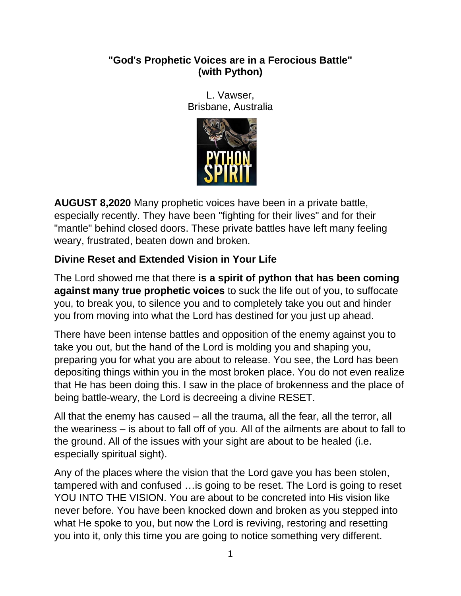#### **"God's Prophetic Voices are in a Ferocious Battle" (with Python)**

L. Vawser, Brisbane, Australia



**AUGUST 8,2020** Many prophetic voices have been in a private battle, especially recently. They have been "fighting for their lives" and for their "mantle" behind closed doors. These private battles have left many feeling weary, frustrated, beaten down and broken.

# **Divine Reset and Extended Vision in Your Life**

The Lord showed me that there **is a spirit of python that has been coming against many true prophetic voices** to suck the life out of you, to suffocate you, to break you, to silence you and to completely take you out and hinder you from moving into what the Lord has destined for you just up ahead.

There have been intense battles and opposition of the enemy against you to take you out, but the hand of the Lord is molding you and shaping you, preparing you for what you are about to release. You see, the Lord has been depositing things within you in the most broken place. You do not even realize that He has been doing this. I saw in the place of brokenness and the place of being battle-weary, the Lord is decreeing a divine RESET.

All that the enemy has caused – all the trauma, all the fear, all the terror, all the weariness – is about to fall off of you. All of the ailments are about to fall to the ground. All of the issues with your sight are about to be healed (i.e. especially spiritual sight).

Any of the places where the vision that the Lord gave you has been stolen, tampered with and confused …is going to be reset. The Lord is going to reset YOU INTO THE VISION. You are about to be concreted into His vision like never before. You have been knocked down and broken as you stepped into what He spoke to you, but now the Lord is reviving, restoring and resetting you into it, only this time you are going to notice something very different.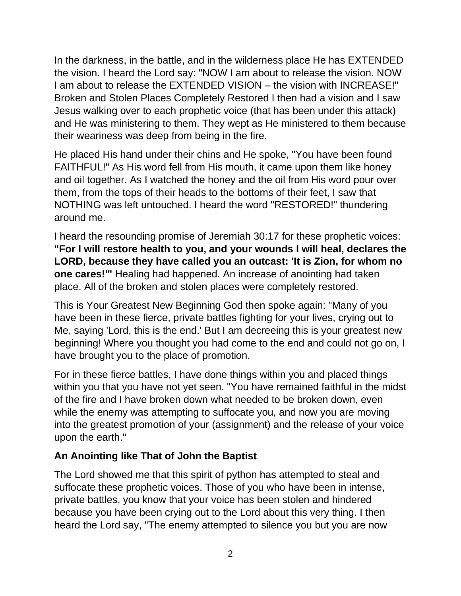In the darkness, in the battle, and in the wilderness place He has EXTENDED the vision. I heard the Lord say: "NOW I am about to release the vision. NOW I am about to release the EXTENDED VISION – the vision with INCREASE!" Broken and Stolen Places Completely Restored I then had a vision and I saw Jesus walking over to each prophetic voice (that has been under this attack) and He was ministering to them. They wept as He ministered to them because their weariness was deep from being in the fire.

He placed His hand under their chins and He spoke, "You have been found FAITHFUL!" As His word fell from His mouth, it came upon them like honey and oil together. As I watched the honey and the oil from His word pour over them, from the tops of their heads to the bottoms of their feet, I saw that NOTHING was left untouched. I heard the word "RESTORED!" thundering around me.

I heard the resounding promise of Jeremiah 30:17 for these prophetic voices: **"For I will restore health to you, and your wounds I will heal, declares the LORD, because they have called you an outcast: 'It is Zion, for whom no one cares!'"** Healing had happened. An increase of anointing had taken place. All of the broken and stolen places were completely restored.

This is Your Greatest New Beginning God then spoke again: "Many of you have been in these fierce, private battles fighting for your lives, crying out to Me, saying 'Lord, this is the end.' But I am decreeing this is your greatest new beginning! Where you thought you had come to the end and could not go on, I have brought you to the place of promotion.

For in these fierce battles, I have done things within you and placed things within you that you have not yet seen. "You have remained faithful in the midst of the fire and I have broken down what needed to be broken down, even while the enemy was attempting to suffocate you, and now you are moving into the greatest promotion of your (assignment) and the release of your voice upon the earth."

# **An Anointing like That of John the Baptist**

The Lord showed me that this spirit of python has attempted to steal and suffocate these prophetic voices. Those of you who have been in intense, private battles, you know that your voice has been stolen and hindered because you have been crying out to the Lord about this very thing. I then heard the Lord say, "The enemy attempted to silence you but you are now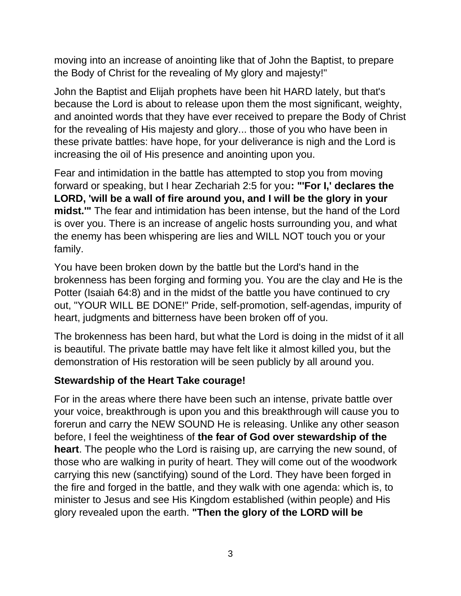moving into an increase of anointing like that of John the Baptist, to prepare the Body of Christ for the revealing of My glory and majesty!"

John the Baptist and Elijah prophets have been hit HARD lately, but that's because the Lord is about to release upon them the most significant, weighty, and anointed words that they have ever received to prepare the Body of Christ for the revealing of His majesty and glory... those of you who have been in these private battles: have hope, for your deliverance is nigh and the Lord is increasing the oil of His presence and anointing upon you.

Fear and intimidation in the battle has attempted to stop you from moving forward or speaking, but I hear Zechariah 2:5 for you**: "'For I,' declares the LORD, 'will be a wall of fire around you, and I will be the glory in your midst.'"** The fear and intimidation has been intense, but the hand of the Lord is over you. There is an increase of angelic hosts surrounding you, and what the enemy has been whispering are lies and WILL NOT touch you or your family.

You have been broken down by the battle but the Lord's hand in the brokenness has been forging and forming you. You are the clay and He is the Potter (Isaiah 64:8) and in the midst of the battle you have continued to cry out, "YOUR WILL BE DONE!" Pride, self-promotion, self-agendas, impurity of heart, judgments and bitterness have been broken off of you.

The brokenness has been hard, but what the Lord is doing in the midst of it all is beautiful. The private battle may have felt like it almost killed you, but the demonstration of His restoration will be seen publicly by all around you.

# **Stewardship of the Heart Take courage!**

For in the areas where there have been such an intense, private battle over your voice, breakthrough is upon you and this breakthrough will cause you to forerun and carry the NEW SOUND He is releasing. Unlike any other season before, I feel the weightiness of **the fear of God over stewardship of the heart**. The people who the Lord is raising up, are carrying the new sound, of those who are walking in purity of heart. They will come out of the woodwork carrying this new (sanctifying) sound of the Lord. They have been forged in the fire and forged in the battle, and they walk with one agenda: which is, to minister to Jesus and see His Kingdom established (within people) and His glory revealed upon the earth. **"Then the glory of the LORD will be**